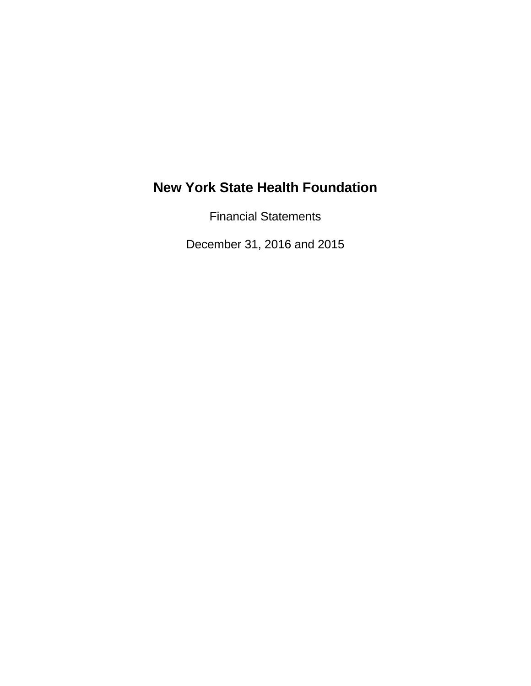Financial Statements

December 31, 2016 and 2015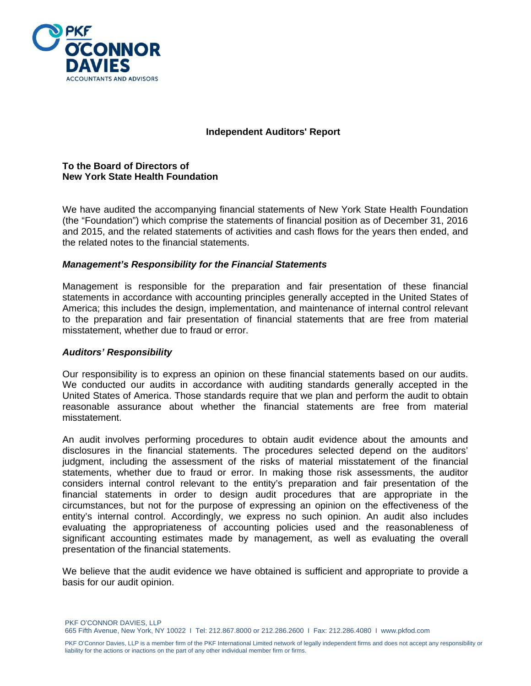

# **Independent Auditors' Report**

**To the Board of Directors of New York State Health Foundation** 

We have audited the accompanying financial statements of New York State Health Foundation (the "Foundation") which comprise the statements of financial position as of December 31, 2016 and 2015, and the related statements of activities and cash flows for the years then ended, and the related notes to the financial statements.

# *Management's Responsibility for the Financial Statements*

Management is responsible for the preparation and fair presentation of these financial statements in accordance with accounting principles generally accepted in the United States of America; this includes the design, implementation, and maintenance of internal control relevant to the preparation and fair presentation of financial statements that are free from material misstatement, whether due to fraud or error.

# *Auditors' Responsibility*

Our responsibility is to express an opinion on these financial statements based on our audits. We conducted our audits in accordance with auditing standards generally accepted in the United States of America. Those standards require that we plan and perform the audit to obtain reasonable assurance about whether the financial statements are free from material misstatement.

An audit involves performing procedures to obtain audit evidence about the amounts and disclosures in the financial statements. The procedures selected depend on the auditors' judgment, including the assessment of the risks of material misstatement of the financial statements, whether due to fraud or error. In making those risk assessments, the auditor considers internal control relevant to the entity's preparation and fair presentation of the financial statements in order to design audit procedures that are appropriate in the circumstances, but not for the purpose of expressing an opinion on the effectiveness of the entity's internal control. Accordingly, we express no such opinion. An audit also includes evaluating the appropriateness of accounting policies used and the reasonableness of significant accounting estimates made by management, as well as evaluating the overall presentation of the financial statements.

We believe that the audit evidence we have obtained is sufficient and appropriate to provide a basis for our audit opinion.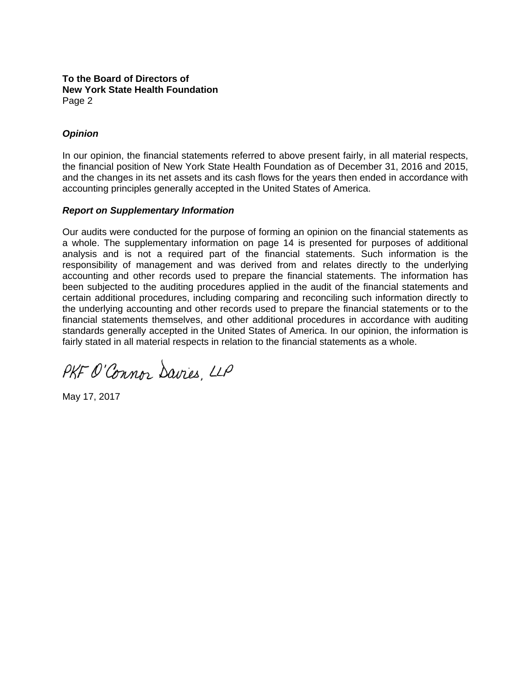#### **To the Board of Directors of New York State Health Foundation**  Page 2

# *Opinion*

In our opinion, the financial statements referred to above present fairly, in all material respects, the financial position of New York State Health Foundation as of December 31, 2016 and 2015, and the changes in its net assets and its cash flows for the years then ended in accordance with accounting principles generally accepted in the United States of America.

# *Report on Supplementary Information*

Our audits were conducted for the purpose of forming an opinion on the financial statements as a whole. The supplementary information on page 14 is presented for purposes of additional analysis and is not a required part of the financial statements. Such information is the responsibility of management and was derived from and relates directly to the underlying accounting and other records used to prepare the financial statements. The information has been subjected to the auditing procedures applied in the audit of the financial statements and certain additional procedures, including comparing and reconciling such information directly to the underlying accounting and other records used to prepare the financial statements or to the financial statements themselves, and other additional procedures in accordance with auditing standards generally accepted in the United States of America. In our opinion, the information is fairly stated in all material respects in relation to the financial statements as a whole.

PKF O'Connor Davies, LLP

May 17, 2017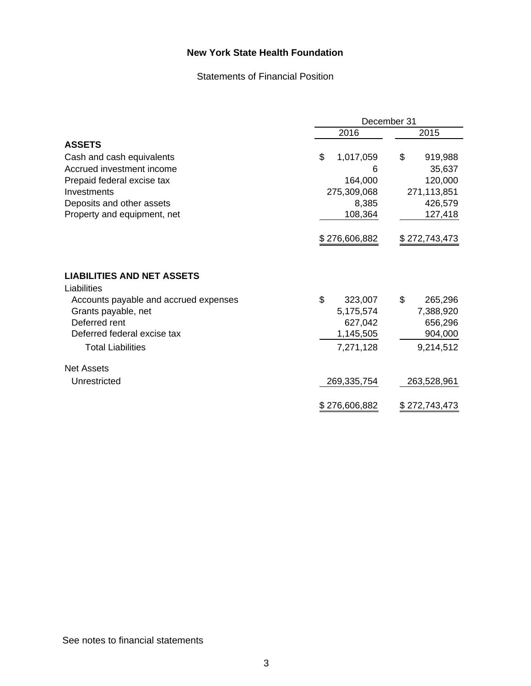Statements of Financial Position

|                                                  | December 31     |               |  |
|--------------------------------------------------|-----------------|---------------|--|
|                                                  | 2016            | 2015          |  |
| <b>ASSETS</b>                                    |                 |               |  |
| Cash and cash equivalents                        | \$<br>1,017,059 | \$<br>919,988 |  |
| Accrued investment income                        | h               | 35,637        |  |
| Prepaid federal excise tax                       | 164,000         | 120,000       |  |
| Investments                                      | 275,309,068     | 271,113,851   |  |
| Deposits and other assets                        | 8,385           | 426,579       |  |
| Property and equipment, net                      | 108,364         | 127,418       |  |
|                                                  | \$276,606,882   | \$272,743,473 |  |
| <b>LIABILITIES AND NET ASSETS</b><br>Liabilities |                 |               |  |
| Accounts payable and accrued expenses            | \$<br>323,007   | \$<br>265,296 |  |
| Grants payable, net                              | 5,175,574       | 7,388,920     |  |
| Deferred rent                                    | 627,042         | 656,296       |  |
| Deferred federal excise tax                      | 1,145,505       | 904,000       |  |
| <b>Total Liabilities</b>                         | 7,271,128       | 9,214,512     |  |
| <b>Net Assets</b>                                |                 |               |  |
| Unrestricted                                     | 269,335,754     | 263,528,961   |  |
|                                                  | \$276,606,882   | \$272,743,473 |  |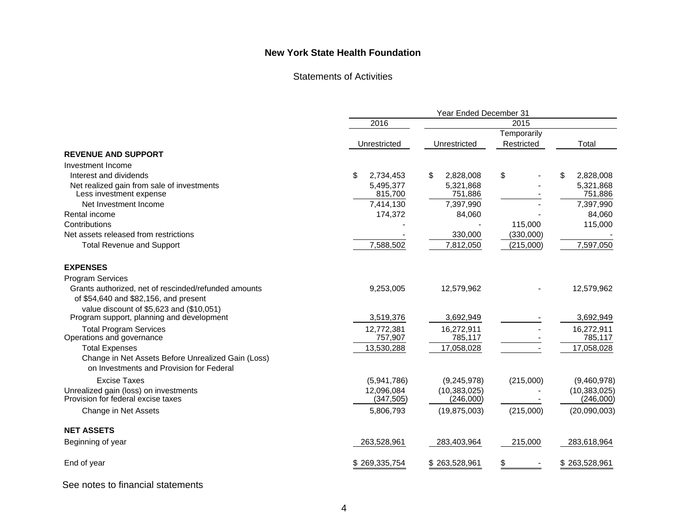Statements of Activities

|                                                                             | Year Ended December 31 |                 |                           |                 |
|-----------------------------------------------------------------------------|------------------------|-----------------|---------------------------|-----------------|
|                                                                             | 2016<br>2015           |                 |                           |                 |
|                                                                             | Unrestricted           | Unrestricted    | Temporarily<br>Restricted | Total           |
| <b>REVENUE AND SUPPORT</b>                                                  |                        |                 |                           |                 |
| Investment Income                                                           |                        |                 |                           |                 |
| Interest and dividends                                                      | \$<br>2,734,453        | 2,828,008<br>\$ | $\mathbb{S}$              | \$<br>2,828,008 |
| Net realized gain from sale of investments                                  | 5,495,377              | 5,321,868       |                           | 5,321,868       |
| Less investment expense                                                     | 815,700                | 751,886         |                           | 751,886         |
| Net Investment Income                                                       | 7,414,130              | 7,397,990       |                           | 7,397,990       |
| Rental income<br>Contributions                                              | 174,372                | 84,060          |                           | 84,060          |
| Net assets released from restrictions                                       |                        |                 | 115,000                   | 115,000         |
|                                                                             | 7,588,502              | 330,000         | (330,000)                 | 7,597,050       |
| <b>Total Revenue and Support</b>                                            |                        | 7,812,050       | (215,000)                 |                 |
| <b>EXPENSES</b>                                                             |                        |                 |                           |                 |
| <b>Program Services</b>                                                     |                        |                 |                           |                 |
| Grants authorized, net of rescinded/refunded amounts                        | 9,253,005              | 12,579,962      |                           | 12,579,962      |
| of \$54,640 and \$82,156, and present                                       |                        |                 |                           |                 |
| value discount of \$5,623 and (\$10,051)                                    |                        |                 |                           |                 |
| Program support, planning and development                                   | 3,519,376              | 3,692,949       |                           | 3,692,949       |
| <b>Total Program Services</b>                                               | 12,772,381             | 16,272,911      |                           | 16,272,911      |
| Operations and governance                                                   | 757,907                | 785,117         |                           | 785,117         |
| <b>Total Expenses</b><br>Change in Net Assets Before Unrealized Gain (Loss) | 13,530,288             | 17,058,028      |                           | 17,058,028      |
| on Investments and Provision for Federal                                    |                        |                 |                           |                 |
| <b>Excise Taxes</b>                                                         | (5,941,786)            | (9,245,978)     | (215,000)                 | (9,460,978)     |
| Unrealized gain (loss) on investments                                       | 12,096,084             | (10, 383, 025)  |                           | (10, 383, 025)  |
| Provision for federal excise taxes                                          | (347, 505)             | (246,000)       |                           | (246,000)       |
| Change in Net Assets                                                        | 5,806,793              | (19, 875, 003)  | (215,000)                 | (20,090,003)    |
| <b>NET ASSETS</b>                                                           |                        |                 |                           |                 |
| Beginning of year                                                           | 263,528,961            | 283,403,964     | 215,000                   | 283,618,964     |
| End of year                                                                 | \$269,335,754          | \$263,528,961   |                           | \$263,528,961   |

See notes to financial statements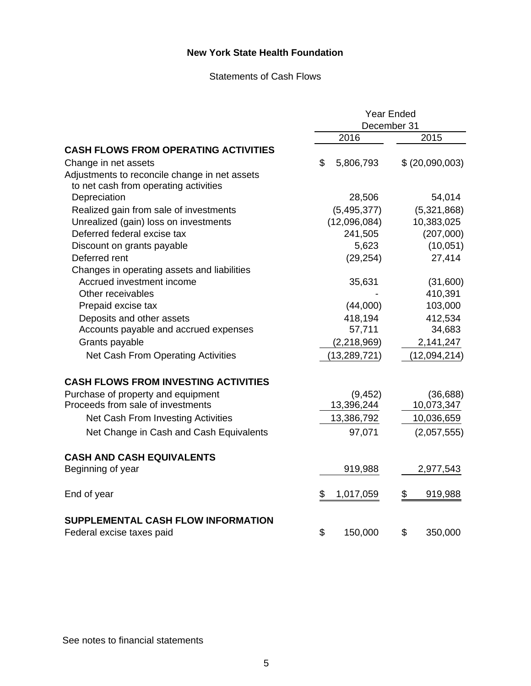# Statements of Cash Flows

|                                                                                                                                                                                                                                                                                                    | <b>Year Ended</b><br>December 31                                                 |                                                                                    |  |
|----------------------------------------------------------------------------------------------------------------------------------------------------------------------------------------------------------------------------------------------------------------------------------------------------|----------------------------------------------------------------------------------|------------------------------------------------------------------------------------|--|
|                                                                                                                                                                                                                                                                                                    | 2016                                                                             | 2015                                                                               |  |
| <b>CASH FLOWS FROM OPERATING ACTIVITIES</b><br>Change in net assets<br>Adjustments to reconcile change in net assets                                                                                                                                                                               | \$<br>5,806,793                                                                  | \$ (20,090,003)                                                                    |  |
| to net cash from operating activities<br>Depreciation<br>Realized gain from sale of investments<br>Unrealized (gain) loss on investments<br>Deferred federal excise tax<br>Discount on grants payable<br>Deferred rent<br>Changes in operating assets and liabilities<br>Accrued investment income | 28,506<br>(5,495,377)<br>(12,096,084)<br>241,505<br>5,623<br>(29, 254)<br>35,631 | 54,014<br>(5,321,868)<br>10,383,025<br>(207,000)<br>(10,051)<br>27,414<br>(31,600) |  |
| Other receivables<br>Prepaid excise tax<br>Deposits and other assets<br>Accounts payable and accrued expenses<br>Grants payable<br>Net Cash From Operating Activities                                                                                                                              | (44,000)<br>418,194<br>57,711<br>(2,218,969)<br>(13, 289, 721)                   | 410,391<br>103,000<br>412,534<br>34,683<br>2,141,247<br>(12,094,214)               |  |
| <b>CASH FLOWS FROM INVESTING ACTIVITIES</b><br>Purchase of property and equipment<br>Proceeds from sale of investments<br>Net Cash From Investing Activities<br>Net Change in Cash and Cash Equivalents                                                                                            | (9, 452)<br>13,396,244<br>13,386,792<br>97,071                                   | (36, 688)<br>10,073,347<br>10,036,659<br>(2,057,555)                               |  |
| <b>CASH AND CASH EQUIVALENTS</b><br>Beginning of year                                                                                                                                                                                                                                              | 919,988                                                                          | 2,977,543                                                                          |  |
| End of year<br><b>SUPPLEMENTAL CASH FLOW INFORMATION</b><br>Federal excise taxes paid                                                                                                                                                                                                              | \$<br>1,017,059<br>\$<br>150,000                                                 | 919,988<br>\$<br>\$<br>350,000                                                     |  |

See notes to financial statements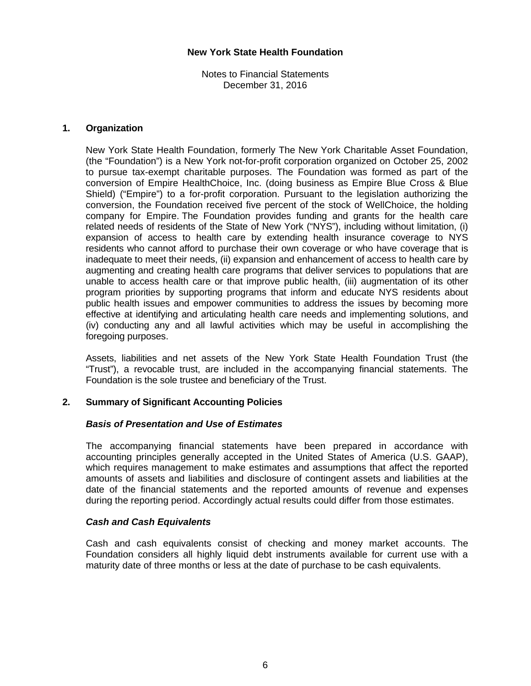Notes to Financial Statements December 31, 2016

# **1. Organization**

New York State Health Foundation, formerly The New York Charitable Asset Foundation, (the "Foundation") is a New York not-for-profit corporation organized on October 25, 2002 to pursue tax-exempt charitable purposes. The Foundation was formed as part of the conversion of Empire HealthChoice, Inc. (doing business as Empire Blue Cross & Blue Shield) ("Empire") to a for-profit corporation. Pursuant to the legislation authorizing the conversion, the Foundation received five percent of the stock of WellChoice, the holding company for Empire. The Foundation provides funding and grants for the health care related needs of residents of the State of New York ("NYS"), including without limitation, (i) expansion of access to health care by extending health insurance coverage to NYS residents who cannot afford to purchase their own coverage or who have coverage that is inadequate to meet their needs, (ii) expansion and enhancement of access to health care by augmenting and creating health care programs that deliver services to populations that are unable to access health care or that improve public health, (iii) augmentation of its other program priorities by supporting programs that inform and educate NYS residents about public health issues and empower communities to address the issues by becoming more effective at identifying and articulating health care needs and implementing solutions, and (iv) conducting any and all lawful activities which may be useful in accomplishing the foregoing purposes.

Assets, liabilities and net assets of the New York State Health Foundation Trust (the "Trust"), a revocable trust, are included in the accompanying financial statements. The Foundation is the sole trustee and beneficiary of the Trust.

# **2. Summary of Significant Accounting Policies**

# *Basis of Presentation and Use of Estimates*

The accompanying financial statements have been prepared in accordance with accounting principles generally accepted in the United States of America (U.S. GAAP), which requires management to make estimates and assumptions that affect the reported amounts of assets and liabilities and disclosure of contingent assets and liabilities at the date of the financial statements and the reported amounts of revenue and expenses during the reporting period. Accordingly actual results could differ from those estimates.

# *Cash and Cash Equivalents*

Cash and cash equivalents consist of checking and money market accounts. The Foundation considers all highly liquid debt instruments available for current use with a maturity date of three months or less at the date of purchase to be cash equivalents.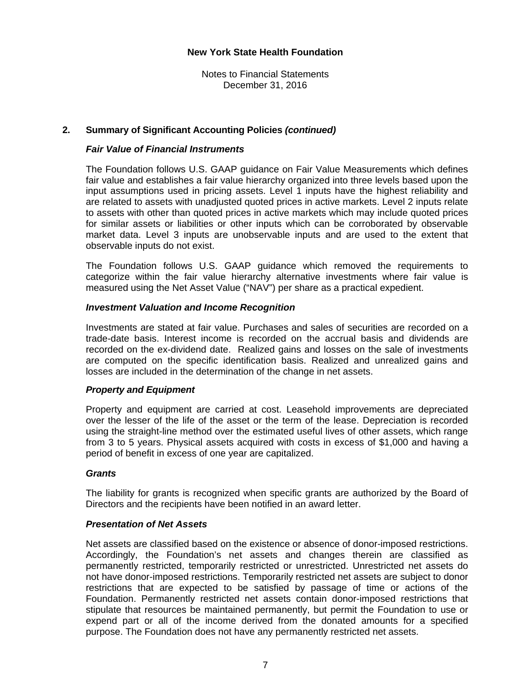Notes to Financial Statements December 31, 2016

# **2. Summary of Significant Accounting Policies** *(continued)*

# *Fair Value of Financial Instruments*

The Foundation follows U.S. GAAP guidance on Fair Value Measurements which defines fair value and establishes a fair value hierarchy organized into three levels based upon the input assumptions used in pricing assets. Level 1 inputs have the highest reliability and are related to assets with unadjusted quoted prices in active markets. Level 2 inputs relate to assets with other than quoted prices in active markets which may include quoted prices for similar assets or liabilities or other inputs which can be corroborated by observable market data. Level 3 inputs are unobservable inputs and are used to the extent that observable inputs do not exist.

The Foundation follows U.S. GAAP guidance which removed the requirements to categorize within the fair value hierarchy alternative investments where fair value is measured using the Net Asset Value ("NAV") per share as a practical expedient.

# *Investment Valuation and Income Recognition*

Investments are stated at fair value. Purchases and sales of securities are recorded on a trade-date basis. Interest income is recorded on the accrual basis and dividends are recorded on the ex-dividend date. Realized gains and losses on the sale of investments are computed on the specific identification basis. Realized and unrealized gains and losses are included in the determination of the change in net assets.

# *Property and Equipment*

Property and equipment are carried at cost. Leasehold improvements are depreciated over the lesser of the life of the asset or the term of the lease. Depreciation is recorded using the straight-line method over the estimated useful lives of other assets, which range from 3 to 5 years. Physical assets acquired with costs in excess of \$1,000 and having a period of benefit in excess of one year are capitalized.

# *Grants*

 The liability for grants is recognized when specific grants are authorized by the Board of Directors and the recipients have been notified in an award letter.

#### *Presentation of Net Assets*

Net assets are classified based on the existence or absence of donor-imposed restrictions. Accordingly, the Foundation's net assets and changes therein are classified as permanently restricted, temporarily restricted or unrestricted. Unrestricted net assets do not have donor-imposed restrictions. Temporarily restricted net assets are subject to donor restrictions that are expected to be satisfied by passage of time or actions of the Foundation. Permanently restricted net assets contain donor-imposed restrictions that stipulate that resources be maintained permanently, but permit the Foundation to use or expend part or all of the income derived from the donated amounts for a specified purpose. The Foundation does not have any permanently restricted net assets.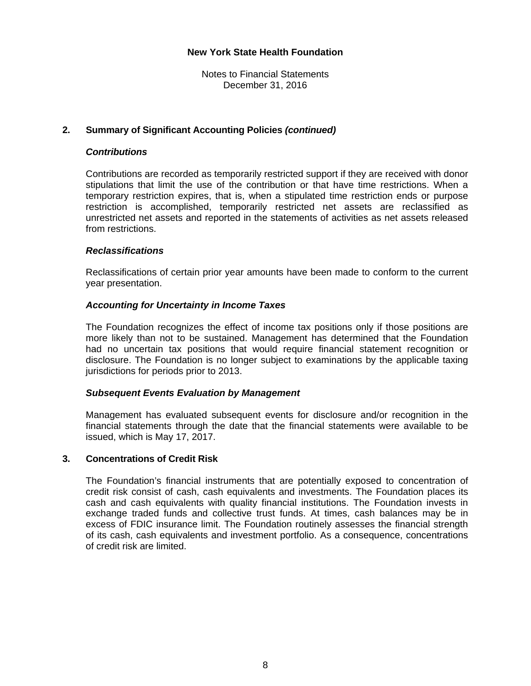Notes to Financial Statements December 31, 2016

# **2. Summary of Significant Accounting Policies** *(continued)*

# *Contributions*

Contributions are recorded as temporarily restricted support if they are received with donor stipulations that limit the use of the contribution or that have time restrictions. When a temporary restriction expires, that is, when a stipulated time restriction ends or purpose restriction is accomplished, temporarily restricted net assets are reclassified as unrestricted net assets and reported in the statements of activities as net assets released from restrictions.

# *Reclassifications*

Reclassifications of certain prior year amounts have been made to conform to the current year presentation.

# *Accounting for Uncertainty in Income Taxes*

The Foundation recognizes the effect of income tax positions only if those positions are more likely than not to be sustained. Management has determined that the Foundation had no uncertain tax positions that would require financial statement recognition or disclosure. The Foundation is no longer subject to examinations by the applicable taxing jurisdictions for periods prior to 2013.

# *Subsequent Events Evaluation by Management*

Management has evaluated subsequent events for disclosure and/or recognition in the financial statements through the date that the financial statements were available to be issued, which is May 17, 2017.

# **3. Concentrations of Credit Risk**

The Foundation's financial instruments that are potentially exposed to concentration of credit risk consist of cash, cash equivalents and investments. The Foundation places its cash and cash equivalents with quality financial institutions. The Foundation invests in exchange traded funds and collective trust funds. At times, cash balances may be in excess of FDIC insurance limit. The Foundation routinely assesses the financial strength of its cash, cash equivalents and investment portfolio. As a consequence, concentrations of credit risk are limited.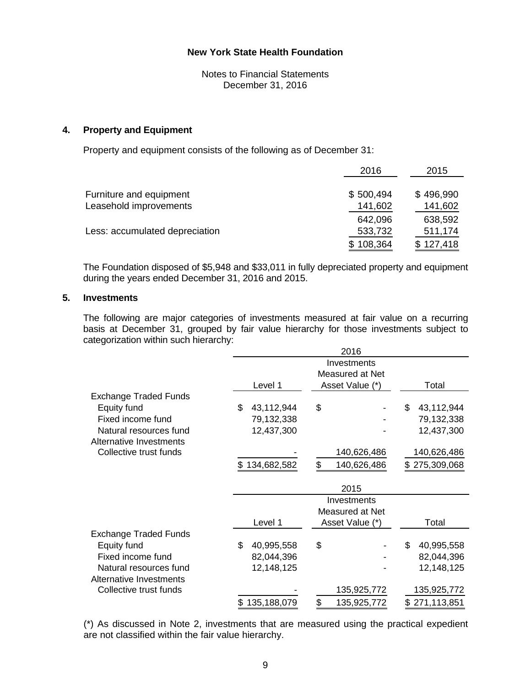Notes to Financial Statements December 31, 2016

# **4. Property and Equipment**

Property and equipment consists of the following as of December 31:

|                                | 2016      | 2015      |
|--------------------------------|-----------|-----------|
| Furniture and equipment        | \$500,494 | \$496,990 |
| Leasehold improvements         | 141,602   | 141,602   |
|                                | 642,096   | 638,592   |
| Less: accumulated depreciation | 533,732   | 511,174   |
|                                | 108,364   | \$127,418 |

 The Foundation disposed of \$5,948 and \$33,011 in fully depreciated property and equipment during the years ended December 31, 2016 and 2015.

#### **5. Investments**

The following are major categories of investments measured at fair value on a recurring basis at December 31, grouped by fair value hierarchy for those investments subject to categorization within such hierarchy:

|                                | 2016              |                   |                  |  |  |
|--------------------------------|-------------------|-------------------|------------------|--|--|
|                                | Investments       |                   |                  |  |  |
|                                |                   | Measured at Net   |                  |  |  |
|                                | Level 1           | Asset Value (*)   | Total            |  |  |
| <b>Exchange Traded Funds</b>   |                   |                   |                  |  |  |
| Equity fund                    | \$<br>43,112,944  | \$                | \$<br>43,112,944 |  |  |
| Fixed income fund              | 79,132,338        |                   | 79,132,338       |  |  |
| Natural resources fund         | 12,437,300        |                   | 12,437,300       |  |  |
| <b>Alternative Investments</b> |                   |                   |                  |  |  |
| Collective trust funds         |                   | 140,626,486       | 140,626,486      |  |  |
|                                | 134,682,582       | 140,626,486<br>\$ | \$275,309,068    |  |  |
|                                |                   | 2015              |                  |  |  |
|                                |                   | Investments       |                  |  |  |
|                                |                   | Measured at Net   |                  |  |  |
|                                | Level 1           | Asset Value (*)   | Total            |  |  |
| <b>Exchange Traded Funds</b>   |                   |                   |                  |  |  |
| Equity fund                    | \$<br>40,995,558  | \$                | \$<br>40,995,558 |  |  |
| Fixed income fund              | 82,044,396        |                   | 82,044,396       |  |  |
| Natural resources fund         | 12,148,125        |                   | 12,148,125       |  |  |
| Alternative Investments        |                   |                   |                  |  |  |
| Collective trust funds         |                   | 135,925,772       | 135,925,772      |  |  |
|                                | 135,188,079<br>\$ | \$<br>135,925,772 | \$271,113,851    |  |  |

 (\*) As discussed in Note 2, investments that are measured using the practical expedient are not classified within the fair value hierarchy.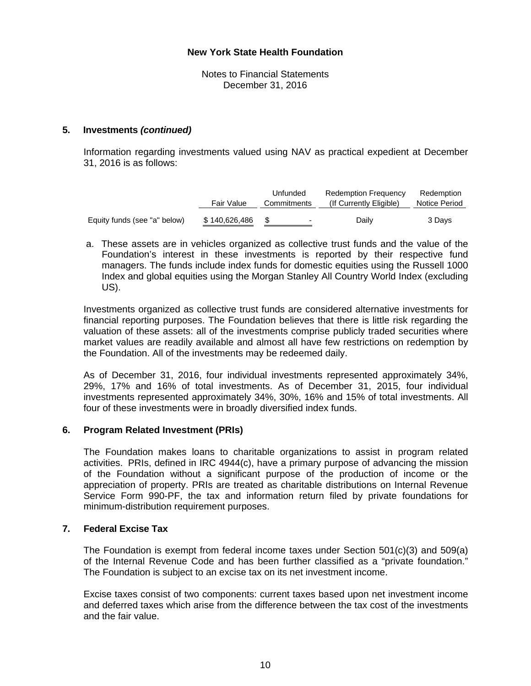Notes to Financial Statements December 31, 2016

# **5. Investments** *(continued)*

 Information regarding investments valued using NAV as practical expedient at December 31, 2016 is as follows:

|                              | Fair Value    | Unfunded<br>Commitments  | <b>Redemption Frequency</b><br>(If Currently Eligible) | Redemption<br>Notice Period |
|------------------------------|---------------|--------------------------|--------------------------------------------------------|-----------------------------|
| Equity funds (see "a" below) | \$140,626,486 | $\overline{\phantom{0}}$ | Dailv                                                  | 3 Davs                      |

a. These assets are in vehicles organized as collective trust funds and the value of the Foundation's interest in these investments is reported by their respective fund managers. The funds include index funds for domestic equities using the Russell 1000 Index and global equities using the Morgan Stanley All Country World Index (excluding US).

Investments organized as collective trust funds are considered alternative investments for financial reporting purposes. The Foundation believes that there is little risk regarding the valuation of these assets: all of the investments comprise publicly traded securities where market values are readily available and almost all have few restrictions on redemption by the Foundation. All of the investments may be redeemed daily.

As of December 31, 2016, four individual investments represented approximately 34%, 29%, 17% and 16% of total investments. As of December 31, 2015, four individual investments represented approximately 34%, 30%, 16% and 15% of total investments. All four of these investments were in broadly diversified index funds.

# **6. Program Related Investment (PRIs)**

The Foundation makes loans to charitable organizations to assist in program related activities. PRIs, defined in IRC 4944(c), have a primary purpose of advancing the mission of the Foundation without a significant purpose of the production of income or the appreciation of property. PRIs are treated as charitable distributions on Internal Revenue Service Form 990-PF, the tax and information return filed by private foundations for minimum-distribution requirement purposes.

# **7. Federal Excise Tax**

 The Foundation is exempt from federal income taxes under Section 501(c)(3) and 509(a) of the Internal Revenue Code and has been further classified as a "private foundation." The Foundation is subject to an excise tax on its net investment income.

 Excise taxes consist of two components: current taxes based upon net investment income and deferred taxes which arise from the difference between the tax cost of the investments and the fair value.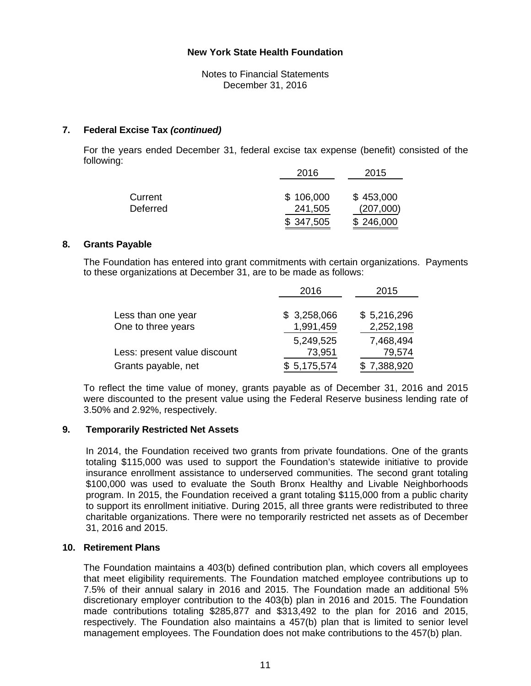Notes to Financial Statements December 31, 2016

# **7. Federal Excise Tax** *(continued)*

 For the years ended December 31, federal excise tax expense (benefit) consisted of the following:

|          | 2016      | 2015      |  |
|----------|-----------|-----------|--|
|          |           |           |  |
| Current  | \$106,000 | \$453,000 |  |
| Deferred | 241,505   | (207,000) |  |
|          | \$347,505 | \$246,000 |  |

# **8. Grants Payable**

 The Foundation has entered into grant commitments with certain organizations. Payments to these organizations at December 31, are to be made as follows:

|                              | 2016        | 2015        |
|------------------------------|-------------|-------------|
|                              |             |             |
| Less than one year           | \$3,258,066 | \$5,216,296 |
| One to three years           | 1,991,459   | 2,252,198   |
|                              | 5,249,525   | 7,468,494   |
| Less: present value discount | 73,951      | 79,574      |
| Grants payable, net          | \$5,175,574 | 7,388,920   |

 To reflect the time value of money, grants payable as of December 31, 2016 and 2015 were discounted to the present value using the Federal Reserve business lending rate of 3.50% and 2.92%, respectively.

# **9. Temporarily Restricted Net Assets**

In 2014, the Foundation received two grants from private foundations. One of the grants totaling \$115,000 was used to support the Foundation's statewide initiative to provide insurance enrollment assistance to underserved communities. The second grant totaling \$100,000 was used to evaluate the South Bronx Healthy and Livable Neighborhoods program. In 2015, the Foundation received a grant totaling \$115,000 from a public charity to support its enrollment initiative. During 2015, all three grants were redistributed to three charitable organizations. There were no temporarily restricted net assets as of December 31, 2016 and 2015.

# **10. Retirement Plans**

 The Foundation maintains a 403(b) defined contribution plan, which covers all employees that meet eligibility requirements. The Foundation matched employee contributions up to 7.5% of their annual salary in 2016 and 2015. The Foundation made an additional 5% discretionary employer contribution to the 403(b) plan in 2016 and 2015. The Foundation made contributions totaling \$285,877 and \$313,492 to the plan for 2016 and 2015, respectively. The Foundation also maintains a 457(b) plan that is limited to senior level management employees. The Foundation does not make contributions to the 457(b) plan.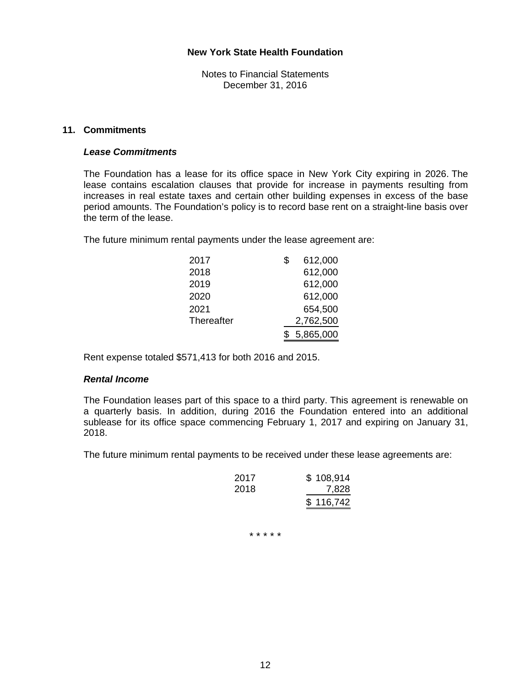Notes to Financial Statements December 31, 2016

# **11. Commitments**

#### *Lease Commitments*

The Foundation has a lease for its office space in New York City expiring in 2026. The lease contains escalation clauses that provide for increase in payments resulting from increases in real estate taxes and certain other building expenses in excess of the base period amounts. The Foundation's policy is to record base rent on a straight-line basis over the term of the lease.

The future minimum rental payments under the lease agreement are:

| 2017       | 612,000<br>\$ |
|------------|---------------|
| 2018       | 612,000       |
| 2019       | 612,000       |
| 2020       | 612,000       |
| 2021       | 654,500       |
| Thereafter | 2,762,500     |
|            | 5,865,000     |

Rent expense totaled \$571,413 for both 2016 and 2015.

# *Rental Income*

The Foundation leases part of this space to a third party. This agreement is renewable on a quarterly basis. In addition, during 2016 the Foundation entered into an additional sublease for its office space commencing February 1, 2017 and expiring on January 31, 2018.

The future minimum rental payments to be received under these lease agreements are:

| 2017 | \$108,914 |
|------|-----------|
| 2018 | 7,828     |
|      | \$116,742 |

\* \* \* \* \*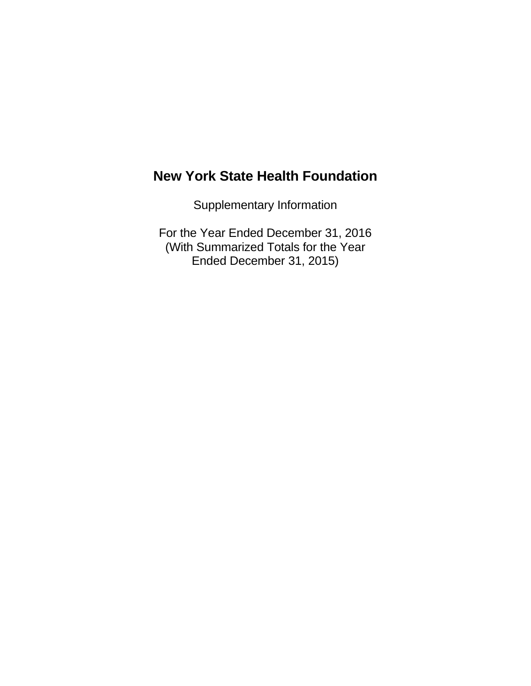Supplementary Information

For the Year Ended December 31, 2016 (With Summarized Totals for the Year Ended December 31, 2015)